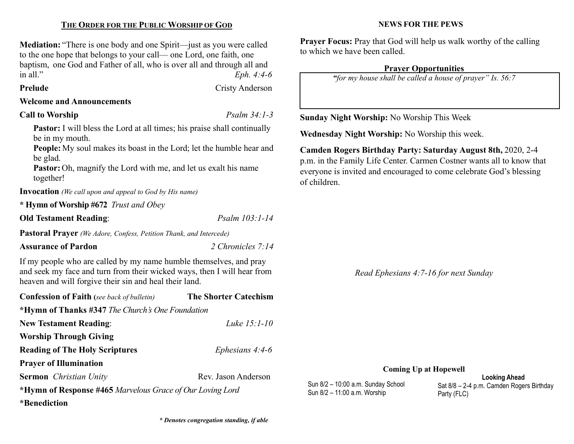## THE ORDER FOR THE PUBLIC WORSHIP OF GOD

Mediation: "There is one body and one Spirit—just as you were called to the one hope that belongs to your call— one Lord, one faith, one baptism, one God and Father of all, who is over all and through all and in all."  $Eph. 4:4-6$ 

## Prelude Cristy Anderson

Welcome and Announcements

## Call to Worship  $P_{\text{S}a\text{lm}} 34:1-3$

Pastor: I will bless the Lord at all times; his praise shall continually be in my mouth.

People: My soul makes its boast in the Lord; let the humble hear and be glad.

Pastor: Oh, magnify the Lord with me, and let us exalt his name together!

Invocation (We call upon and appeal to God by His name)

\* Hymn of Worship #672 Trust and Obey

Old Testament Reading: Psalm 103:1-14

Pastoral Prayer (We Adore, Confess, Petition Thank, and Intercede)

## Assurance of Pardon 2 Chronicles 7:14

If my people who are called by my name humble themselves, and pray and seek my face and turn from their wicked ways, then I will hear from heaven and will forgive their sin and heal their land.

| <b>Confession of Faith</b> (see back of bulletin)         | <b>The Shorter Catechism</b> |
|-----------------------------------------------------------|------------------------------|
| *Hymn of Thanks #347 The Church's One Foundation          |                              |
| <b>New Testament Reading:</b>                             | Luke $15:1-10$               |
| <b>Worship Through Giving</b>                             |                              |
| <b>Reading of The Holy Scriptures</b>                     | Ephesians $4:4-6$            |
| <b>Prayer of Illumination</b>                             |                              |
| <b>Sermon</b> <i>Christian Unity</i>                      | Rev. Jason Anderson          |
| *Hymn of Response #465 Marvelous Grace of Our Loving Lord |                              |
| <i>*</i> Benediction                                      |                              |

## NEWS FOR THE PEWS

Prayer Focus: Pray that God will help us walk worthy of the calling to which we have been called.

## Prayer Opportunities

"for my house shall be called a house of prayer" Is. 56:7

Sunday Night Worship: No Worship This Week

Wednesday Night Worship: No Worship this week.

Camden Rogers Birthday Party: Saturday August 8th, 2020, 2-4 p.m. in the Family Life Center. Carmen Costner wants all to know that everyone is invited and encouraged to come celebrate God's blessing of children.

Read Ephesians 4:7-16 for next Sunday

### Coming Up at Hopewell

Sun 8/2 – 10:00 a.m. Sunday School Sun 8/2 – 11:00 a.m. Worship

Looking Ahead Sat 8/8 – 2-4 p.m. Camden Rogers Birthday Party (FLC)